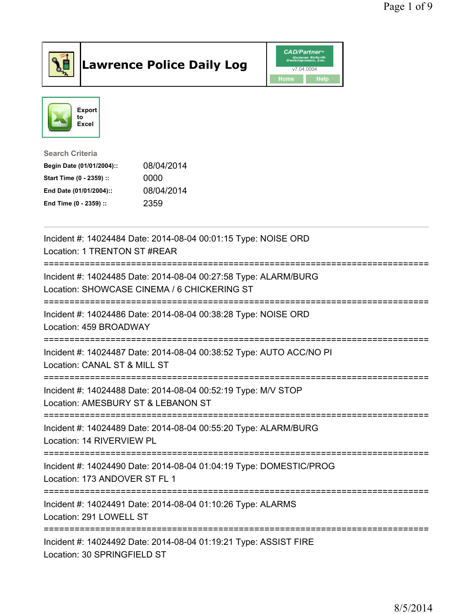

## Lawrence Police Daily Log **Daniel CAD/Partner**





Search Criteria Begin Date (01/01/2004):: 08/04/2014 Start Time (0 - 2359) :: 0000 End Date (01/01/2004):: 08/04/2014 End Time (0 - 2359) :: 2359

| Incident #: 14024484 Date: 2014-08-04 00:01:15 Type: NOISE ORD<br>Location: 1 TRENTON ST #REAR                                                              |
|-------------------------------------------------------------------------------------------------------------------------------------------------------------|
| Incident #: 14024485 Date: 2014-08-04 00:27:58 Type: ALARM/BURG<br>Location: SHOWCASE CINEMA / 6 CHICKERING ST                                              |
| Incident #: 14024486 Date: 2014-08-04 00:38:28 Type: NOISE ORD<br>Location: 459 BROADWAY<br>===================================<br>------------------------ |
| Incident #: 14024487 Date: 2014-08-04 00:38:52 Type: AUTO ACC/NO PI<br>Location: CANAL ST & MILL ST                                                         |
| Incident #: 14024488 Date: 2014-08-04 00:52:19 Type: M/V STOP<br>Location: AMESBURY ST & LEBANON ST                                                         |
| Incident #: 14024489 Date: 2014-08-04 00:55:20 Type: ALARM/BURG<br>Location: 14 RIVERVIEW PL                                                                |
| Incident #: 14024490 Date: 2014-08-04 01:04:19 Type: DOMESTIC/PROG<br>Location: 173 ANDOVER ST FL 1                                                         |
| Incident #: 14024491 Date: 2014-08-04 01:10:26 Type: ALARMS<br>Location: 291 LOWELL ST                                                                      |
| Incident #: 14024492 Date: 2014-08-04 01:19:21 Type: ASSIST FIRE<br>Location: 30 SPRINGFIELD ST                                                             |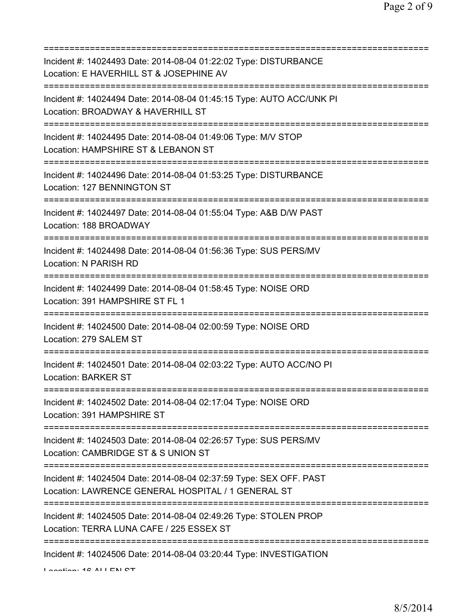| Incident #: 14024493 Date: 2014-08-04 01:22:02 Type: DISTURBANCE<br>Location: E HAVERHILL ST & JOSEPHINE AV                          |
|--------------------------------------------------------------------------------------------------------------------------------------|
| Incident #: 14024494 Date: 2014-08-04 01:45:15 Type: AUTO ACC/UNK PI<br>Location: BROADWAY & HAVERHILL ST                            |
| Incident #: 14024495 Date: 2014-08-04 01:49:06 Type: M/V STOP<br>Location: HAMPSHIRE ST & LEBANON ST                                 |
| Incident #: 14024496 Date: 2014-08-04 01:53:25 Type: DISTURBANCE<br>Location: 127 BENNINGTON ST                                      |
| Incident #: 14024497 Date: 2014-08-04 01:55:04 Type: A&B D/W PAST<br>Location: 188 BROADWAY<br>===================================== |
| Incident #: 14024498 Date: 2014-08-04 01:56:36 Type: SUS PERS/MV<br>Location: N PARISH RD<br>;===============================        |
| Incident #: 14024499 Date: 2014-08-04 01:58:45 Type: NOISE ORD<br>Location: 391 HAMPSHIRE ST FL 1                                    |
| Incident #: 14024500 Date: 2014-08-04 02:00:59 Type: NOISE ORD<br>Location: 279 SALEM ST                                             |
| Incident #: 14024501 Date: 2014-08-04 02:03:22 Type: AUTO ACC/NO PI<br><b>Location: BARKER ST</b>                                    |
| Incident #: 14024502 Date: 2014-08-04 02:17:04 Type: NOISE ORD<br>Location: 391 HAMPSHIRE ST                                         |
| Incident #: 14024503 Date: 2014-08-04 02:26:57 Type: SUS PERS/MV<br>Location: CAMBRIDGE ST & S UNION ST                              |
| Incident #: 14024504 Date: 2014-08-04 02:37:59 Type: SEX OFF. PAST<br>Location: LAWRENCE GENERAL HOSPITAL / 1 GENERAL ST             |
| Incident #: 14024505 Date: 2014-08-04 02:49:26 Type: STOLEN PROP<br>Location: TERRA LUNA CAFE / 225 ESSEX ST                         |
| Incident #: 14024506 Date: 2014-08-04 03:20:44 Type: INVESTIGATION                                                                   |

Location: 40 ALLEN CT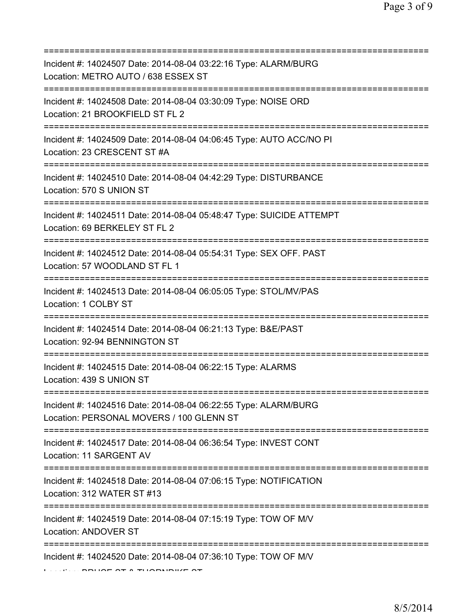| Incident #: 14024507 Date: 2014-08-04 03:22:16 Type: ALARM/BURG<br>Location: METRO AUTO / 638 ESSEX ST<br>=============================     |
|---------------------------------------------------------------------------------------------------------------------------------------------|
| Incident #: 14024508 Date: 2014-08-04 03:30:09 Type: NOISE ORD<br>Location: 21 BROOKFIELD ST FL 2                                           |
| Incident #: 14024509 Date: 2014-08-04 04:06:45 Type: AUTO ACC/NO PI<br>Location: 23 CRESCENT ST #A<br>===================================== |
| Incident #: 14024510 Date: 2014-08-04 04:42:29 Type: DISTURBANCE<br>Location: 570 S UNION ST                                                |
| Incident #: 14024511 Date: 2014-08-04 05:48:47 Type: SUICIDE ATTEMPT<br>Location: 69 BERKELEY ST FL 2                                       |
| Incident #: 14024512 Date: 2014-08-04 05:54:31 Type: SEX OFF. PAST<br>Location: 57 WOODLAND ST FL 1                                         |
| Incident #: 14024513 Date: 2014-08-04 06:05:05 Type: STOL/MV/PAS<br>Location: 1 COLBY ST                                                    |
| Incident #: 14024514 Date: 2014-08-04 06:21:13 Type: B&E/PAST<br>Location: 92-94 BENNINGTON ST                                              |
| Incident #: 14024515 Date: 2014-08-04 06:22:15 Type: ALARMS<br>Location: 439 S UNION ST                                                     |
| Incident #: 14024516 Date: 2014-08-04 06:22:55 Type: ALARM/BURG<br>Location: PERSONAL MOVERS / 100 GLENN ST                                 |
| Incident #: 14024517 Date: 2014-08-04 06:36:54 Type: INVEST CONT<br>Location: 11 SARGENT AV                                                 |
| Incident #: 14024518 Date: 2014-08-04 07:06:15 Type: NOTIFICATION<br>Location: 312 WATER ST #13                                             |
| Incident #: 14024519 Date: 2014-08-04 07:15:19 Type: TOW OF M/V<br>Location: ANDOVER ST                                                     |
| Incident #: 14024520 Date: 2014-08-04 07:36:10 Type: TOW OF M/V                                                                             |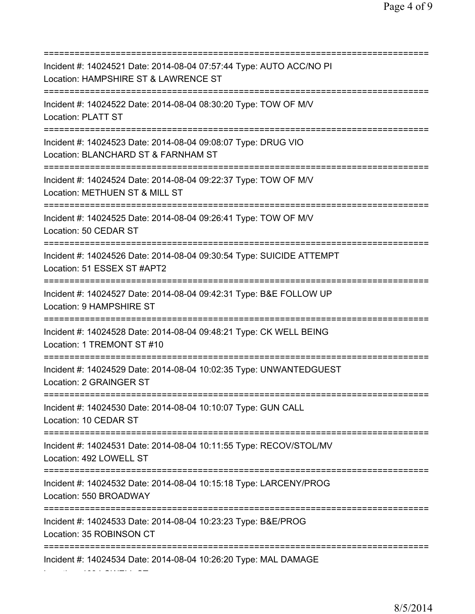=========================================================================== Incident #: 14024521 Date: 2014-08-04 07:57:44 Type: AUTO ACC/NO PI Location: HAMPSHIRE ST & LAWRENCE ST =========================================================================== Incident #: 14024522 Date: 2014-08-04 08:30:20 Type: TOW OF M/V Location: PLATT ST =========================================================================== Incident #: 14024523 Date: 2014-08-04 09:08:07 Type: DRUG VIO Location: BLANCHARD ST & FARNHAM ST =========================================================================== Incident #: 14024524 Date: 2014-08-04 09:22:37 Type: TOW OF M/V Location: METHUEN ST & MILL ST =========================================================================== Incident #: 14024525 Date: 2014-08-04 09:26:41 Type: TOW OF M/V Location: 50 CEDAR ST =========================================================================== Incident #: 14024526 Date: 2014-08-04 09:30:54 Type: SUICIDE ATTEMPT Location: 51 ESSEX ST #APT2 =========================================================================== Incident #: 14024527 Date: 2014-08-04 09:42:31 Type: B&E FOLLOW UP Location: 9 HAMPSHIRE ST =========================================================================== Incident #: 14024528 Date: 2014-08-04 09:48:21 Type: CK WELL BEING Location: 1 TREMONT ST #10 =========================================================================== Incident #: 14024529 Date: 2014-08-04 10:02:35 Type: UNWANTEDGUEST Location: 2 GRAINGER ST =========================================================================== Incident #: 14024530 Date: 2014-08-04 10:10:07 Type: GUN CALL Location: 10 CEDAR ST =========================================================================== Incident #: 14024531 Date: 2014-08-04 10:11:55 Type: RECOV/STOL/MV Location: 492 LOWELL ST =========================================================================== Incident #: 14024532 Date: 2014-08-04 10:15:18 Type: LARCENY/PROG Location: 550 BROADWAY =========================================================================== Incident #: 14024533 Date: 2014-08-04 10:23:23 Type: B&E/PROG Location: 35 ROBINSON CT =========================================================================== Incident #: 14024534 Date: 2014-08-04 10:26:20 Type: MAL DAMAGE

Location: 468 LOWELL ST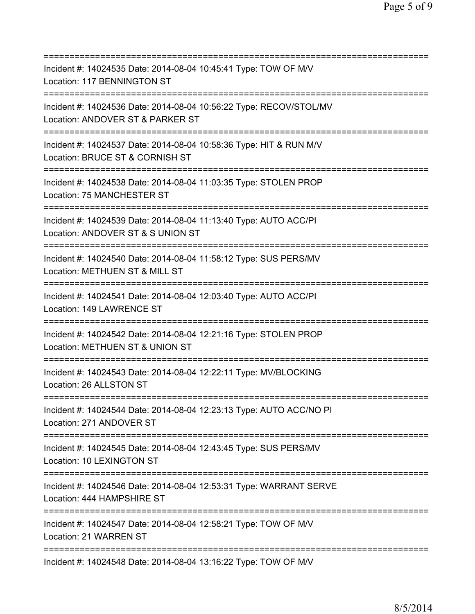| Incident #: 14024535 Date: 2014-08-04 10:45:41 Type: TOW OF M/V<br>Location: 117 BENNINGTON ST                                          |
|-----------------------------------------------------------------------------------------------------------------------------------------|
| ==========================<br>Incident #: 14024536 Date: 2014-08-04 10:56:22 Type: RECOV/STOL/MV<br>Location: ANDOVER ST & PARKER ST    |
| Incident #: 14024537 Date: 2014-08-04 10:58:36 Type: HIT & RUN M/V<br>Location: BRUCE ST & CORNISH ST<br>==========================     |
| Incident #: 14024538 Date: 2014-08-04 11:03:35 Type: STOLEN PROP<br>Location: 75 MANCHESTER ST                                          |
| Incident #: 14024539 Date: 2014-08-04 11:13:40 Type: AUTO ACC/PI<br>Location: ANDOVER ST & S UNION ST                                   |
| Incident #: 14024540 Date: 2014-08-04 11:58:12 Type: SUS PERS/MV<br>Location: METHUEN ST & MILL ST                                      |
| Incident #: 14024541 Date: 2014-08-04 12:03:40 Type: AUTO ACC/PI<br>Location: 149 LAWRENCE ST                                           |
| Incident #: 14024542 Date: 2014-08-04 12:21:16 Type: STOLEN PROP<br>Location: METHUEN ST & UNION ST                                     |
| Incident #: 14024543 Date: 2014-08-04 12:22:11 Type: MV/BLOCKING<br>Location: 26 ALLSTON ST                                             |
| Incident #: 14024544 Date: 2014-08-04 12:23:13 Type: AUTO ACC/NO PI<br>Location: 271 ANDOVER ST<br>==================================== |
| Incident #: 14024545 Date: 2014-08-04 12:43:45 Type: SUS PERS/MV<br>Location: 10 LEXINGTON ST                                           |
| Incident #: 14024546 Date: 2014-08-04 12:53:31 Type: WARRANT SERVE<br>Location: 444 HAMPSHIRE ST                                        |
| Incident #: 14024547 Date: 2014-08-04 12:58:21 Type: TOW OF M/V<br>Location: 21 WARREN ST                                               |
| Incident #: 14024548 Date: 2014-08-04 13:16:22 Type: TOW OF M/V                                                                         |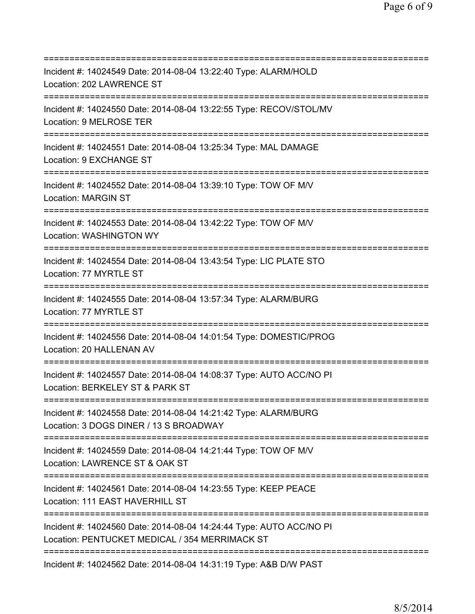=========================================================================== Incident #: 14024549 Date: 2014-08-04 13:22:40 Type: ALARM/HOLD Location: 202 LAWRENCE ST =========================================================================== Incident #: 14024550 Date: 2014-08-04 13:22:55 Type: RECOV/STOL/MV Location: 9 MELROSE TER =========================================================================== Incident #: 14024551 Date: 2014-08-04 13:25:34 Type: MAL DAMAGE Location: 9 EXCHANGE ST =========================================================================== Incident #: 14024552 Date: 2014-08-04 13:39:10 Type: TOW OF M/V Location: MARGIN ST =========================================================================== Incident #: 14024553 Date: 2014-08-04 13:42:22 Type: TOW OF M/V Location: WASHINGTON WY =========================================================================== Incident #: 14024554 Date: 2014-08-04 13:43:54 Type: LIC PLATE STO Location: 77 MYRTLE ST =========================================================================== Incident #: 14024555 Date: 2014-08-04 13:57:34 Type: ALARM/BURG Location: 77 MYRTLE ST =========================================================================== Incident #: 14024556 Date: 2014-08-04 14:01:54 Type: DOMESTIC/PROG Location: 20 HALLENAN AV =========================================================================== Incident #: 14024557 Date: 2014-08-04 14:08:37 Type: AUTO ACC/NO PI Location: BERKELEY ST & PARK ST =========================================================================== Incident #: 14024558 Date: 2014-08-04 14:21:42 Type: ALARM/BURG Location: 3 DOGS DINER / 13 S BROADWAY =========================================================================== Incident #: 14024559 Date: 2014-08-04 14:21:44 Type: TOW OF M/V Location: LAWRENCE ST & OAK ST =========================================================================== Incident #: 14024561 Date: 2014-08-04 14:23:55 Type: KEEP PEACE Location: 111 EAST HAVERHILL ST =========================================================================== Incident #: 14024560 Date: 2014-08-04 14:24:44 Type: AUTO ACC/NO PI Location: PENTUCKET MEDICAL / 354 MERRIMACK ST =========================================================================== Incident #: 14024562 Date: 2014-08-04 14:31:19 Type: A&B D/W PAST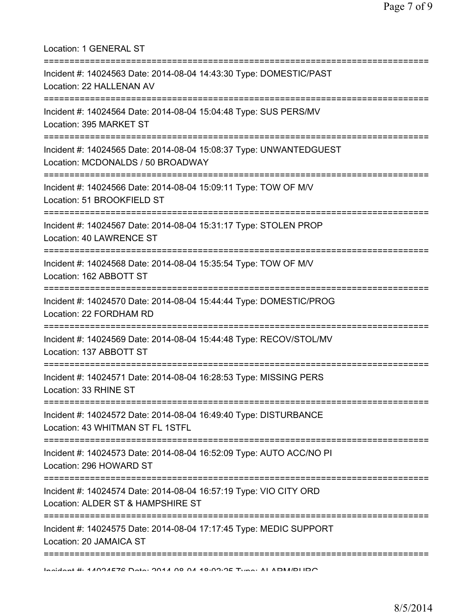| Location: 1 GENERAL ST                                                                                                                        |
|-----------------------------------------------------------------------------------------------------------------------------------------------|
| Incident #: 14024563 Date: 2014-08-04 14:43:30 Type: DOMESTIC/PAST<br>Location: 22 HALLENAN AV                                                |
| Incident #: 14024564 Date: 2014-08-04 15:04:48 Type: SUS PERS/MV<br>Location: 395 MARKET ST<br>====================================           |
| Incident #: 14024565 Date: 2014-08-04 15:08:37 Type: UNWANTEDGUEST<br>Location: MCDONALDS / 50 BROADWAY                                       |
| Incident #: 14024566 Date: 2014-08-04 15:09:11 Type: TOW OF M/V<br>Location: 51 BROOKFIELD ST                                                 |
| Incident #: 14024567 Date: 2014-08-04 15:31:17 Type: STOLEN PROP<br>Location: 40 LAWRENCE ST<br>===========================                   |
| Incident #: 14024568 Date: 2014-08-04 15:35:54 Type: TOW OF M/V<br>Location: 162 ABBOTT ST<br>=====================================           |
| Incident #: 14024570 Date: 2014-08-04 15:44:44 Type: DOMESTIC/PROG<br>Location: 22 FORDHAM RD                                                 |
| Incident #: 14024569 Date: 2014-08-04 15:44:48 Type: RECOV/STOL/MV<br>Location: 137 ABBOTT ST                                                 |
| Incident #: 14024571 Date: 2014-08-04 16:28:53 Type: MISSING PERS<br>Location: 33 RHINE ST<br>=====================================           |
| Incident #: 14024572 Date: 2014-08-04 16:49:40 Type: DISTURBANCE<br>Location: 43 WHITMAN ST FL 1STFL<br>===================================== |
| Incident #: 14024573 Date: 2014-08-04 16:52:09 Type: AUTO ACC/NO PI<br>Location: 296 HOWARD ST                                                |
| Incident #: 14024574 Date: 2014-08-04 16:57:19 Type: VIO CITY ORD<br>Location: ALDER ST & HAMPSHIRE ST                                        |
| =========<br>Incident #: 14024575 Date: 2014-08-04 17:17:45 Type: MEDIC SUPPORT<br>Location: 20 JAMAICA ST                                    |
|                                                                                                                                               |

Incident #: 14024576 Date: 2014 08 04 18:02:25 Type: ALARM/BURG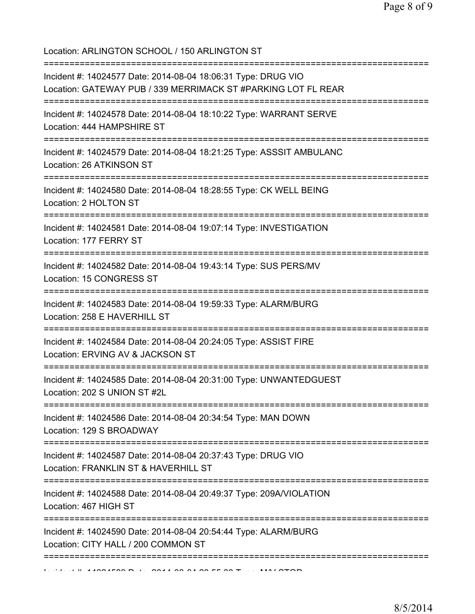Location: ARLINGTON SCHOOL / 150 ARLINGTON ST

| Incident #: 14024577 Date: 2014-08-04 18:06:31 Type: DRUG VIO<br>Location: GATEWAY PUB / 339 MERRIMACK ST #PARKING LOT FL REAR                          |
|---------------------------------------------------------------------------------------------------------------------------------------------------------|
| Incident #: 14024578 Date: 2014-08-04 18:10:22 Type: WARRANT SERVE<br>Location: 444 HAMPSHIRE ST                                                        |
| Incident #: 14024579 Date: 2014-08-04 18:21:25 Type: ASSSIT AMBULANC<br>Location: 26 ATKINSON ST                                                        |
| Incident #: 14024580 Date: 2014-08-04 18:28:55 Type: CK WELL BEING<br>Location: 2 HOLTON ST                                                             |
| Incident #: 14024581 Date: 2014-08-04 19:07:14 Type: INVESTIGATION<br>Location: 177 FERRY ST                                                            |
| Incident #: 14024582 Date: 2014-08-04 19:43:14 Type: SUS PERS/MV<br>Location: 15 CONGRESS ST                                                            |
| Incident #: 14024583 Date: 2014-08-04 19:59:33 Type: ALARM/BURG<br>Location: 258 E HAVERHILL ST                                                         |
| Incident #: 14024584 Date: 2014-08-04 20:24:05 Type: ASSIST FIRE<br>Location: ERVING AV & JACKSON ST                                                    |
| Incident #: 14024585 Date: 2014-08-04 20:31:00 Type: UNWANTEDGUEST<br>Location: 202 S UNION ST #2L                                                      |
| ====================================<br>==================<br>Incident #: 14024586 Date: 2014-08-04 20:34:54 Type: MAN DOWN<br>Location: 129 S BROADWAY |
| Incident #: 14024587 Date: 2014-08-04 20:37:43 Type: DRUG VIO<br>Location: FRANKLIN ST & HAVERHILL ST                                                   |
| Incident #: 14024588 Date: 2014-08-04 20:49:37 Type: 209A/VIOLATION<br>Location: 467 HIGH ST                                                            |
| Incident #: 14024590 Date: 2014-08-04 20:54:44 Type: ALARM/BURG<br>Location: CITY HALL / 200 COMMON ST                                                  |
|                                                                                                                                                         |